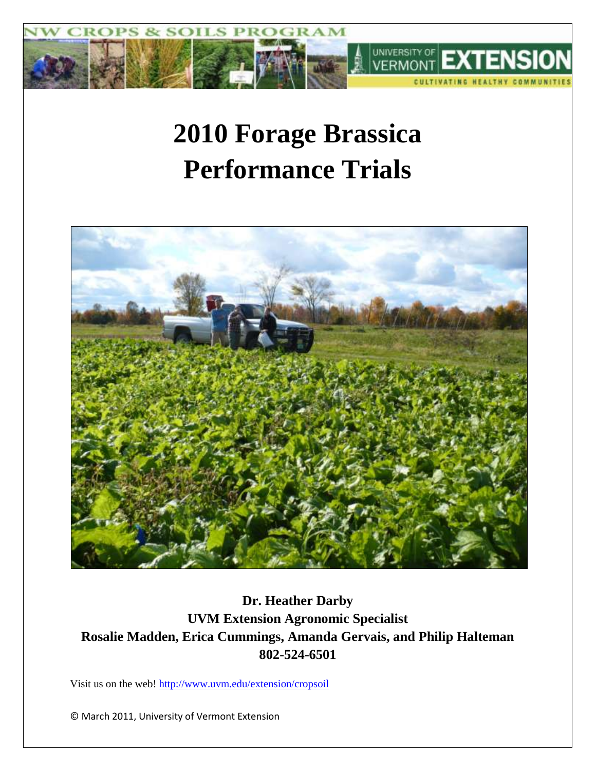

# **2010 Forage Brassica Performance Trials**



**Dr. Heather Darby UVM Extension Agronomic Specialist Rosalie Madden, Erica Cummings, Amanda Gervais, and Philip Halteman 802-524-6501**

Visit us on the web!<http://www.uvm.edu/extension/cropsoil>

© March 2011, University of Vermont Extension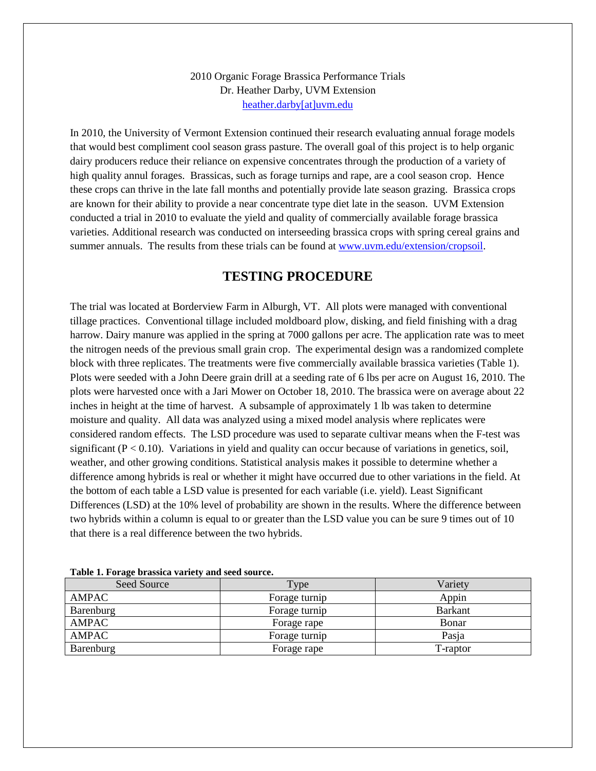## 2010 Organic Forage Brassica Performance Trials Dr. Heather Darby, UVM Extension [heather.darby\[at\]uvm.edu](mailto:hdarby@uvm.edu?subject=Organic%20Forage%20Brassica%20Performance%20Trials)

In 2010, the University of Vermont Extension continued their research evaluating annual forage models that would best compliment cool season grass pasture. The overall goal of this project is to help organic dairy producers reduce their reliance on expensive concentrates through the production of a variety of high quality annul forages. Brassicas, such as forage turnips and rape, are a cool season crop. Hence these crops can thrive in the late fall months and potentially provide late season grazing. Brassica crops are known for their ability to provide a near concentrate type diet late in the season. UVM Extension conducted a trial in 2010 to evaluate the yield and quality of commercially available forage brassica varieties. Additional research was conducted on interseeding brassica crops with spring cereal grains and summer annuals. The results from these trials can be found at [www.uvm.edu/extension/cropsoil.](http://www.uvm.edu/extension/cropsoil)

## **TESTING PROCEDURE**

The trial was located at Borderview Farm in Alburgh, VT. All plots were managed with conventional tillage practices. Conventional tillage included moldboard plow, disking, and field finishing with a drag harrow. Dairy manure was applied in the spring at 7000 gallons per acre. The application rate was to meet the nitrogen needs of the previous small grain crop. The experimental design was a randomized complete block with three replicates. The treatments were five commercially available brassica varieties (Table 1). Plots were seeded with a John Deere grain drill at a seeding rate of 6 lbs per acre on August 16, 2010. The plots were harvested once with a Jari Mower on October 18, 2010. The brassica were on average about 22 inches in height at the time of harvest. A subsample of approximately 1 lb was taken to determine moisture and quality. All data was analyzed using a mixed model analysis where replicates were considered random effects. The LSD procedure was used to separate cultivar means when the F-test was significant ( $P < 0.10$ ). Variations in yield and quality can occur because of variations in genetics, soil, weather, and other growing conditions. Statistical analysis makes it possible to determine whether a difference among hybrids is real or whether it might have occurred due to other variations in the field. At the bottom of each table a LSD value is presented for each variable (i.e. yield). Least Significant Differences (LSD) at the 10% level of probability are shown in the results. Where the difference between two hybrids within a column is equal to or greater than the LSD value you can be sure 9 times out of 10 that there is a real difference between the two hybrids.

| Seed Source | Type          | Variety        |  |  |
|-------------|---------------|----------------|--|--|
| AMPAC       | Forage turnip | Appin          |  |  |
| Barenburg   | Forage turnip | <b>Barkant</b> |  |  |
| AMPAC       | Forage rape   | Bonar          |  |  |
| AMPAC       | Forage turnip | Pasja          |  |  |
| Barenburg   | Forage rape   | T-raptor       |  |  |

**Table 1. Forage brassica variety and seed source.**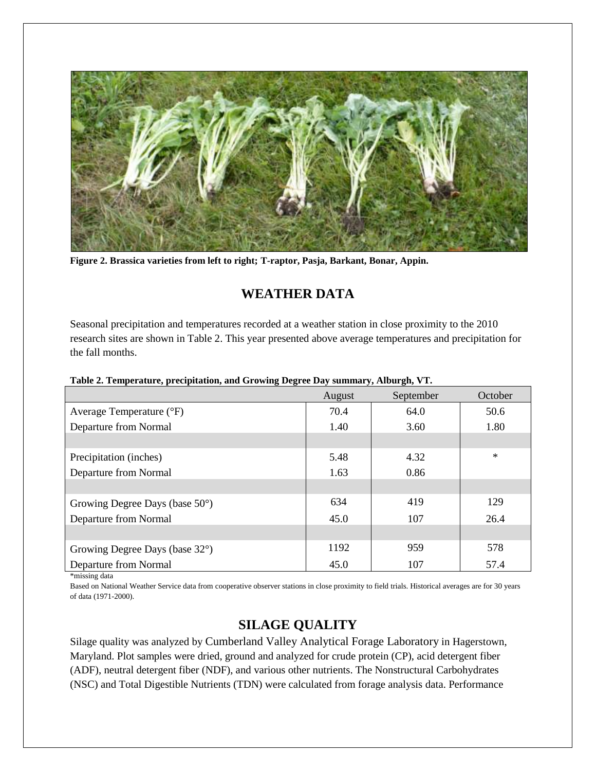

**Figure 2. Brassica varieties from left to right; T-raptor, Pasja, Barkant, Bonar, Appin.** 

# **WEATHER DATA**

Seasonal precipitation and temperatures recorded at a weather station in close proximity to the 2010 research sites are shown in Table 2. This year presented above average temperatures and precipitation for the fall months.

|                                          | August | September | October |
|------------------------------------------|--------|-----------|---------|
| Average Temperature (°F)                 | 70.4   | 64.0      | 50.6    |
| Departure from Normal                    | 1.40   | 3.60      | 1.80    |
|                                          |        |           |         |
| Precipitation (inches)                   | 5.48   | 4.32      | $\ast$  |
| Departure from Normal                    | 1.63   | 0.86      |         |
|                                          |        |           |         |
| Growing Degree Days (base $50^{\circ}$ ) | 634    | 419       | 129     |
| Departure from Normal                    | 45.0   | 107       | 26.4    |
|                                          |        |           |         |
| Growing Degree Days (base 32°)           | 1192   | 959       | 578     |
| Departure from Normal                    | 45.0   | 107       | 57.4    |
| *missing data                            |        |           |         |

#### **Table 2. Temperature, precipitation, and Growing Degree Day summary, Alburgh, VT.**

Based on National Weather Service data from cooperative observer stations in close proximity to field trials. Historical averages are for 30 years of data (1971-2000).

# **SILAGE QUALITY**

Silage quality was analyzed by Cumberland Valley Analytical Forage Laboratory in Hagerstown, Maryland. Plot samples were dried, ground and analyzed for crude protein (CP), acid detergent fiber (ADF), neutral detergent fiber (NDF), and various other nutrients. The Nonstructural Carbohydrates (NSC) and Total Digestible Nutrients (TDN) were calculated from forage analysis data. Performance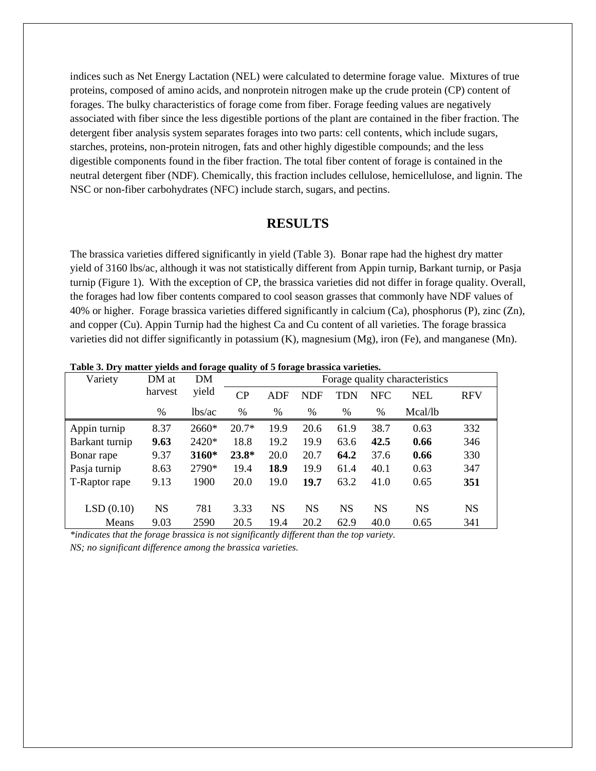indices such as Net Energy Lactation (NEL) were calculated to determine forage value. Mixtures of true proteins, composed of amino acids, and nonprotein nitrogen make up the crude protein (CP) content of forages. The bulky characteristics of forage come from fiber. Forage feeding values are negatively associated with fiber since the less digestible portions of the plant are contained in the fiber fraction. The detergent fiber analysis system separates forages into two parts: cell contents, which include sugars, starches, proteins, non-protein nitrogen, fats and other highly digestible compounds; and the less digestible components found in the fiber fraction. The total fiber content of forage is contained in the neutral detergent fiber (NDF). Chemically, this fraction includes cellulose, hemicellulose, and lignin. The NSC or non-fiber carbohydrates (NFC) include starch, sugars, and pectins.

## **RESULTS**

The brassica varieties differed significantly in yield (Table 3). Bonar rape had the highest dry matter yield of 3160 lbs/ac, although it was not statistically different from Appin turnip, Barkant turnip, or Pasja turnip (Figure 1). With the exception of CP, the brassica varieties did not differ in forage quality. Overall, the forages had low fiber contents compared to cool season grasses that commonly have NDF values of 40% or higher. Forage brassica varieties differed significantly in calcium (Ca), phosphorus (P), zinc (Zn), and copper (Cu). Appin Turnip had the highest Ca and Cu content of all varieties. The forage brassica varieties did not differ significantly in potassium  $(K)$ , magnesium  $(Mg)$ , iron (Fe), and manganese (Mn).

| Table 5. Dry matter yields and forage quality of 5 forage brassica varieties. |           |        |                                |            |            |            |            |           |            |
|-------------------------------------------------------------------------------|-----------|--------|--------------------------------|------------|------------|------------|------------|-----------|------------|
| Variety                                                                       | DM at     | DM     | Forage quality characteristics |            |            |            |            |           |            |
|                                                                               | harvest   | yield  | CP                             | <b>ADF</b> | <b>NDF</b> | <b>TDN</b> | <b>NFC</b> | NEL       | <b>RFV</b> |
|                                                                               | %         | lbs/ac | %                              | $\%$       | %          | %          | $\%$       | Mcal/lb   |            |
| Appin turnip                                                                  | 8.37      | 2660*  | $20.7*$                        | 19.9       | 20.6       | 61.9       | 38.7       | 0.63      | 332        |
| Barkant turnip                                                                | 9.63      | 2420*  | 18.8                           | 19.2       | 19.9       | 63.6       | 42.5       | 0.66      | 346        |
| Bonar rape                                                                    | 9.37      | 3160*  | $23.8*$                        | 20.0       | 20.7       | 64.2       | 37.6       | 0.66      | 330        |
| Pasja turnip                                                                  | 8.63      | 2790*  | 19.4                           | 18.9       | 19.9       | 61.4       | 40.1       | 0.63      | 347        |
| T-Raptor rape                                                                 | 9.13      | 1900   | 20.0                           | 19.0       | 19.7       | 63.2       | 41.0       | 0.65      | 351        |
|                                                                               |           |        |                                |            |            |            |            |           |            |
| LSD(0.10)                                                                     | <b>NS</b> | 781    | 3.33                           | <b>NS</b>  | <b>NS</b>  | <b>NS</b>  | <b>NS</b>  | <b>NS</b> | <b>NS</b>  |
| Means                                                                         | 9.03      | 2590   | 20.5                           | 19.4       | 20.2       | 62.9       | 40.0       | 0.65      | 341        |

 $\mathbf{v}$  matter violds and forage quality of 5 forage brassica varieties.

*\*indicates that the forage brassica is not significantly different than the top variety. NS; no significant difference among the brassica varieties.*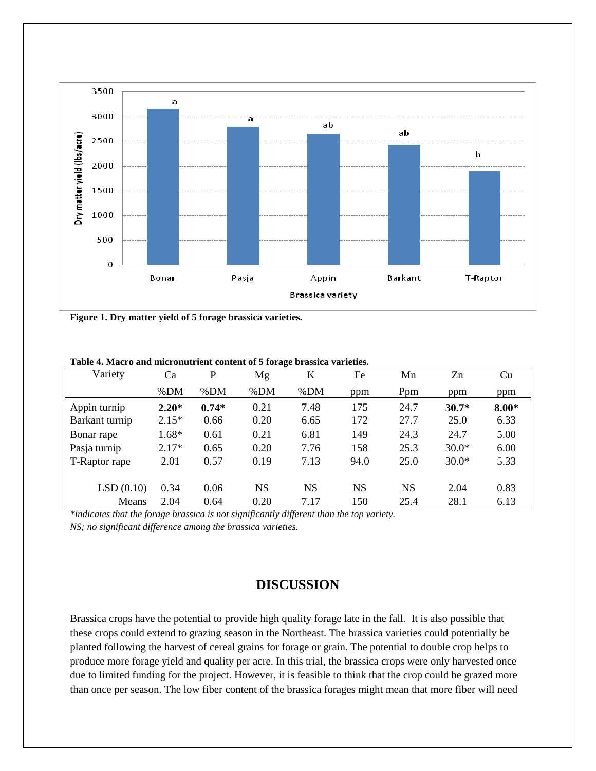

**Figure 1. Dry matter yield of 5 forage brassica varieties.**

| Variety        | Ca      | P       | ี ⊶<br>Mg | K         | Fe        | Mn        | Zn      | Cu      |
|----------------|---------|---------|-----------|-----------|-----------|-----------|---------|---------|
|                | % $DM$  | %DM     | %DM       | %DM       | ppm       | Ppm       | ppm     | ppm     |
| Appin turnip   | $2.20*$ | $0.74*$ | 0.21      | 7.48      | 175       | 24.7      | $30.7*$ | $8.00*$ |
| Barkant turnip | $2.15*$ | 0.66    | 0.20      | 6.65      | 172       | 27.7      | 25.0    | 6.33    |
| Bonar rape     | 1.68*   | 0.61    | 0.21      | 6.81      | 149       | 24.3      | 24.7    | 5.00    |
| Pasja turnip   | $2.17*$ | 0.65    | 0.20      | 7.76      | 158       | 25.3      | $30.0*$ | 6.00    |
| T-Raptor rape  | 2.01    | 0.57    | 0.19      | 7.13      | 94.0      | 25.0      | $30.0*$ | 5.33    |
|                |         |         |           |           |           |           |         |         |
| LSD(0.10)      | 0.34    | 0.06    | NS        | <b>NS</b> | <b>NS</b> | <b>NS</b> | 2.04    | 0.83    |
| Means          | 2.04    | 0.64    | 0.20      | 7.17      | 150       | 25.4      | 28.1    | 6.13    |

**Table 4. Macro and micronutrient content of 5 forage brassica varieties.** 

*\*indicates that the forage brassica is not significantly different than the top variety.* 

*NS; no significant difference among the brassica varieties.*

# **DISCUSSION**

Brassica crops have the potential to provide high quality forage late in the fall. It is also possible that these crops could extend to grazing season in the Northeast. The brassica varieties could potentially be planted following the harvest of cereal grains for forage or grain. The potential to double crop helps to produce more forage yield and quality per acre. In this trial, the brassica crops were only harvested once due to limited funding for the project. However, it is feasible to think that the crop could be grazed more than once per season. The low fiber content of the brassica forages might mean that more fiber will need